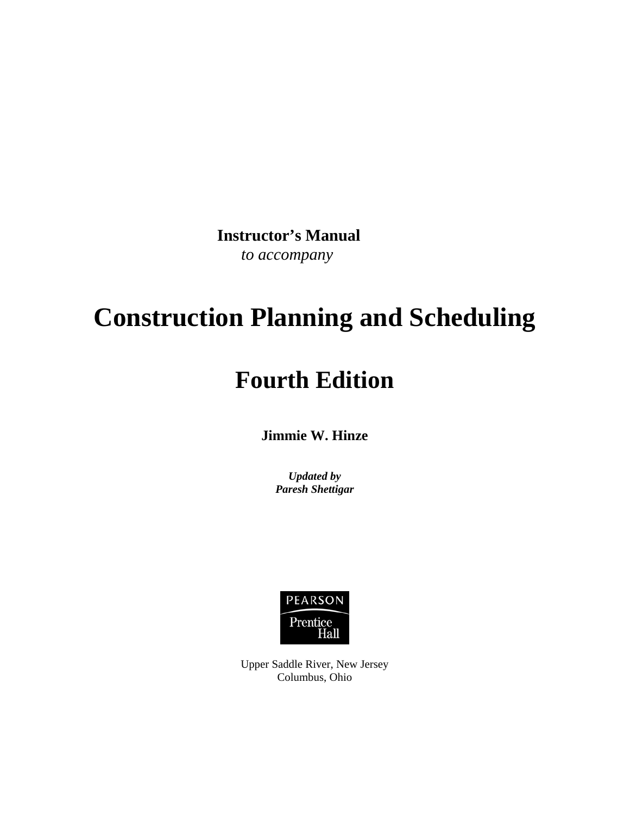**Instructor's Manual**   *to accompany* 

# **Construction Planning and Scheduling**

## **Fourth Edition**

**Jimmie W. Hinze**

*Updated by Paresh Shettigar* 



Upper Saddle River, New Jersey Columbus, Ohio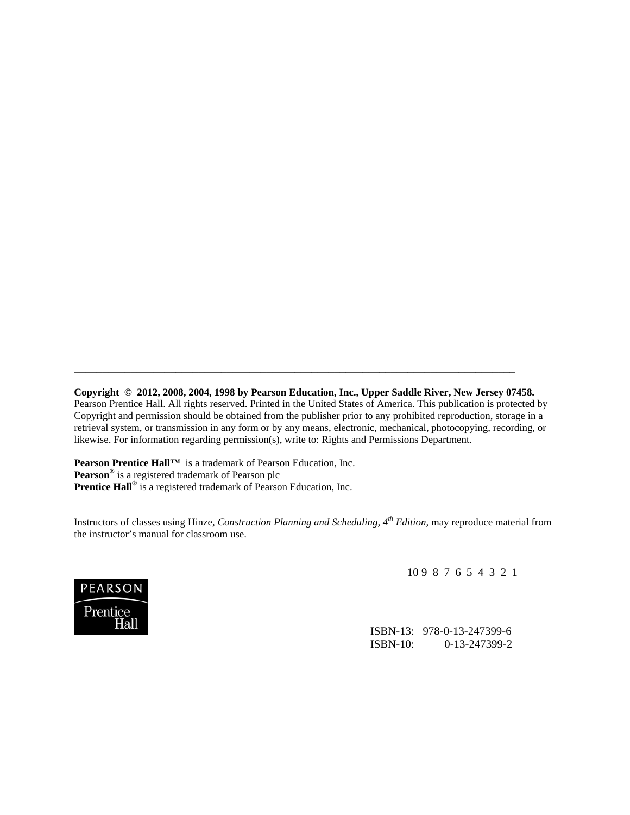**Copyright © 2012, 2008, 2004, 1998 by Pearson Education, Inc., Upper Saddle River, New Jersey 07458.** Pearson Prentice Hall. All rights reserved. Printed in the United States of America. This publication is protected by Copyright and permission should be obtained from the publisher prior to any prohibited reproduction, storage in a retrieval system, or transmission in any form or by any means, electronic, mechanical, photocopying, recording, or likewise. For information regarding permission(s), write to: Rights and Permissions Department.

\_\_\_\_\_\_\_\_\_\_\_\_\_\_\_\_\_\_\_\_\_\_\_\_\_\_\_\_\_\_\_\_\_\_\_\_\_\_\_\_\_\_\_\_\_\_\_\_\_\_\_\_\_\_\_\_\_\_\_\_\_\_\_\_\_\_\_\_\_\_\_\_\_\_\_\_\_\_

**Pearson Prentice Hall™** is a trademark of Pearson Education, Inc. **Pearson®** is a registered trademark of Pearson plc **Prentice Hall<sup>®</sup>** is a registered trademark of Pearson Education, Inc.

Instructors of classes using Hinze, *Construction Planning and Scheduling, 4th Edition,* may reproduce material from the instructor's manual for classroom use.

10 9 8 7 6 5 4 3 2 1



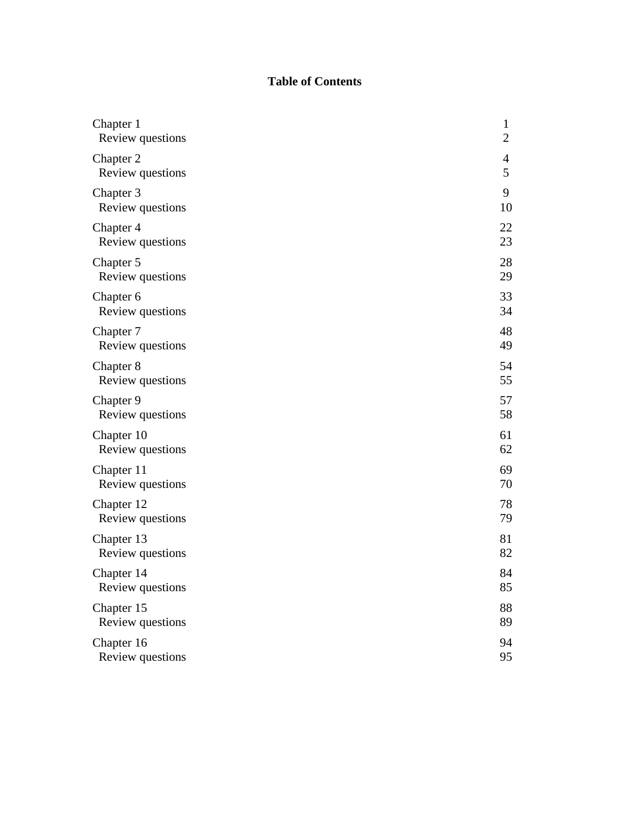## **Table of Contents**

| Chapter 1        | 1            |
|------------------|--------------|
| Review questions | $\mathbf{2}$ |
| Chapter 2        | 4            |
| Review questions | 5            |
| Chapter 3        | 9            |
| Review questions | 10           |
| Chapter 4        | 22           |
| Review questions | 23           |
| Chapter 5        | 28           |
| Review questions | 29           |
| Chapter 6        | 33           |
| Review questions | 34           |
| Chapter 7        | 48           |
| Review questions | 49           |
| Chapter 8        | 54           |
| Review questions | 55           |
| Chapter 9        | 57           |
| Review questions | 58           |
| Chapter 10       | 61           |
| Review questions | 62           |
| Chapter 11       | 69           |
| Review questions | 70           |
| Chapter 12       | 78           |
| Review questions | 79           |
| Chapter 13       | 81           |
| Review questions | 82           |
| Chapter 14       | 84           |
| Review questions | 85           |
| Chapter 15       | 88           |
| Review questions | 89           |
| Chapter 16       | 94           |
| Review questions | 95           |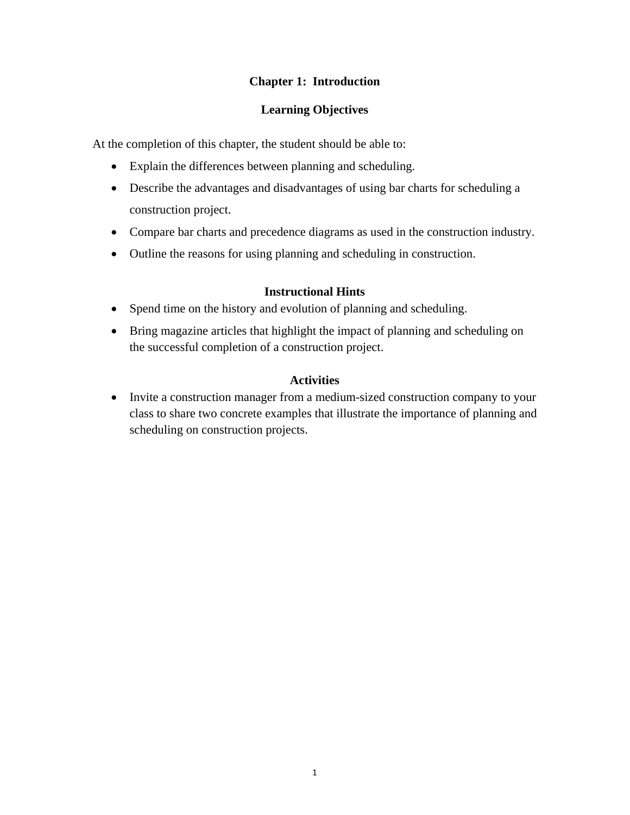## **Chapter 1: Introduction**

## **Learning Objectives**

At the completion of this chapter, the student should be able to:

- Explain the differences between planning and scheduling.
- Describe the advantages and disadvantages of using bar charts for scheduling a construction project.
- Compare bar charts and precedence diagrams as used in the construction industry.
- Outline the reasons for using planning and scheduling in construction.

#### **Instructional Hints**

- Spend time on the history and evolution of planning and scheduling.
- Bring magazine articles that highlight the impact of planning and scheduling on the successful completion of a construction project.

## **Activities**

 Invite a construction manager from a medium-sized construction company to your class to share two concrete examples that illustrate the importance of planning and scheduling on construction projects.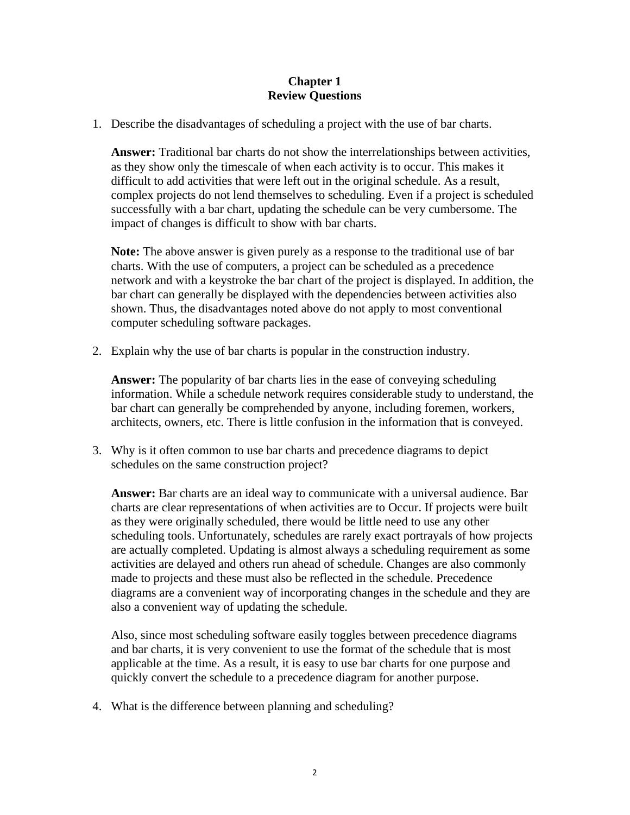#### **Chapter 1 Review Questions**

1. Describe the disadvantages of scheduling a project with the use of bar charts.

 **Answer:** Traditional bar charts do not show the interrelationships between activities, as they show only the timescale of when each activity is to occur. This makes it difficult to add activities that were left out in the original schedule. As a result, complex projects do not lend themselves to scheduling. Even if a project is scheduled successfully with a bar chart, updating the schedule can be very cumbersome. The impact of changes is difficult to show with bar charts.

 **Note:** The above answer is given purely as a response to the traditional use of bar charts. With the use of computers, a project can be scheduled as a precedence network and with a keystroke the bar chart of the project is displayed. In addition, the bar chart can generally be displayed with the dependencies between activities also shown. Thus, the disadvantages noted above do not apply to most conventional computer scheduling software packages.

2. Explain why the use of bar charts is popular in the construction industry.

 **Answer:** The popularity of bar charts lies in the ease of conveying scheduling information. While a schedule network requires considerable study to understand, the bar chart can generally be comprehended by anyone, including foremen, workers, architects, owners, etc. There is little confusion in the information that is conveyed.

3. Why is it often common to use bar charts and precedence diagrams to depict schedules on the same construction project?

 **Answer:** Bar charts are an ideal way to communicate with a universal audience. Bar charts are clear representations of when activities are to Occur. If projects were built as they were originally scheduled, there would be little need to use any other scheduling tools. Unfortunately, schedules are rarely exact portrayals of how projects are actually completed. Updating is almost always a scheduling requirement as some activities are delayed and others run ahead of schedule. Changes are also commonly made to projects and these must also be reflected in the schedule. Precedence diagrams are a convenient way of incorporating changes in the schedule and they are also a convenient way of updating the schedule.

 Also, since most scheduling software easily toggles between precedence diagrams and bar charts, it is very convenient to use the format of the schedule that is most applicable at the time. As a result, it is easy to use bar charts for one purpose and quickly convert the schedule to a precedence diagram for another purpose.

4. What is the difference between planning and scheduling?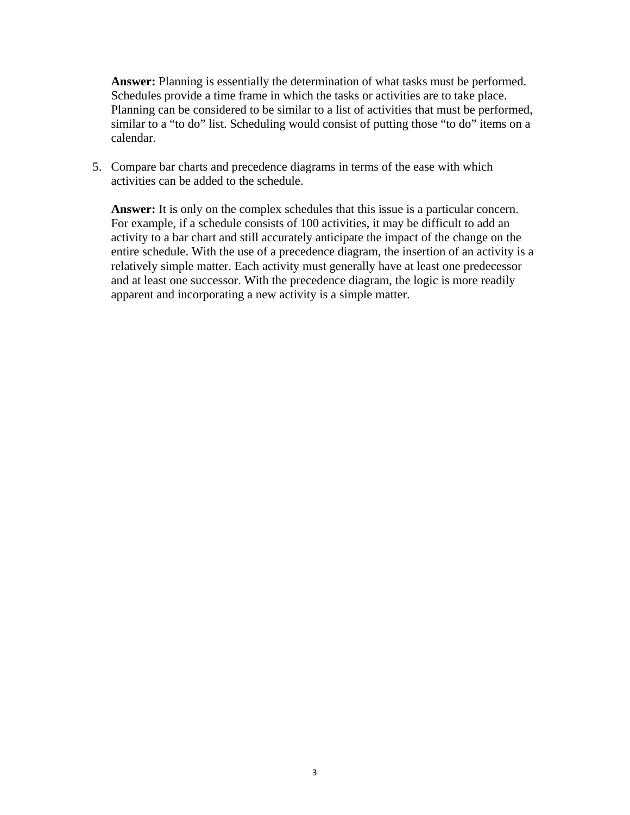**Answer:** Planning is essentially the determination of what tasks must be performed. Schedules provide a time frame in which the tasks or activities are to take place. Planning can be considered to be similar to a list of activities that must be performed, similar to a "to do" list. Scheduling would consist of putting those "to do" items on a calendar.

5. Compare bar charts and precedence diagrams in terms of the ease with which activities can be added to the schedule.

**Answer:** It is only on the complex schedules that this issue is a particular concern. For example, if a schedule consists of 100 activities, it may be difficult to add an activity to a bar chart and still accurately anticipate the impact of the change on the entire schedule. With the use of a precedence diagram, the insertion of an activity is a relatively simple matter. Each activity must generally have at least one predecessor and at least one successor. With the precedence diagram, the logic is more readily apparent and incorporating a new activity is a simple matter.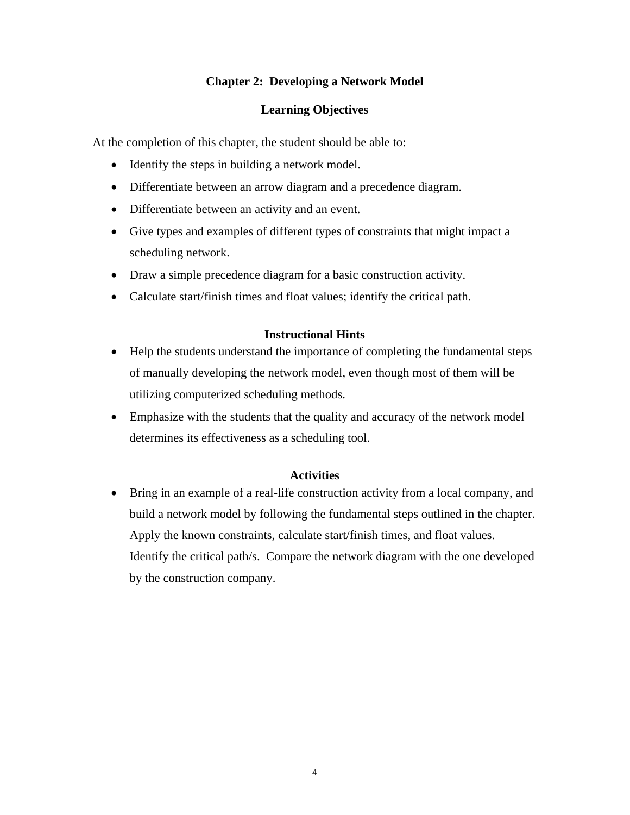## **Chapter 2: Developing a Network Model**

## **Learning Objectives**

At the completion of this chapter, the student should be able to:

- Identify the steps in building a network model.
- Differentiate between an arrow diagram and a precedence diagram.
- Differentiate between an activity and an event.
- Give types and examples of different types of constraints that might impact a scheduling network.
- Draw a simple precedence diagram for a basic construction activity.
- Calculate start/finish times and float values; identify the critical path.

#### **Instructional Hints**

- Help the students understand the importance of completing the fundamental steps of manually developing the network model, even though most of them will be utilizing computerized scheduling methods.
- Emphasize with the students that the quality and accuracy of the network model determines its effectiveness as a scheduling tool.

#### **Activities**

 Bring in an example of a real-life construction activity from a local company, and build a network model by following the fundamental steps outlined in the chapter. Apply the known constraints, calculate start/finish times, and float values. Identify the critical path/s. Compare the network diagram with the one developed by the construction company.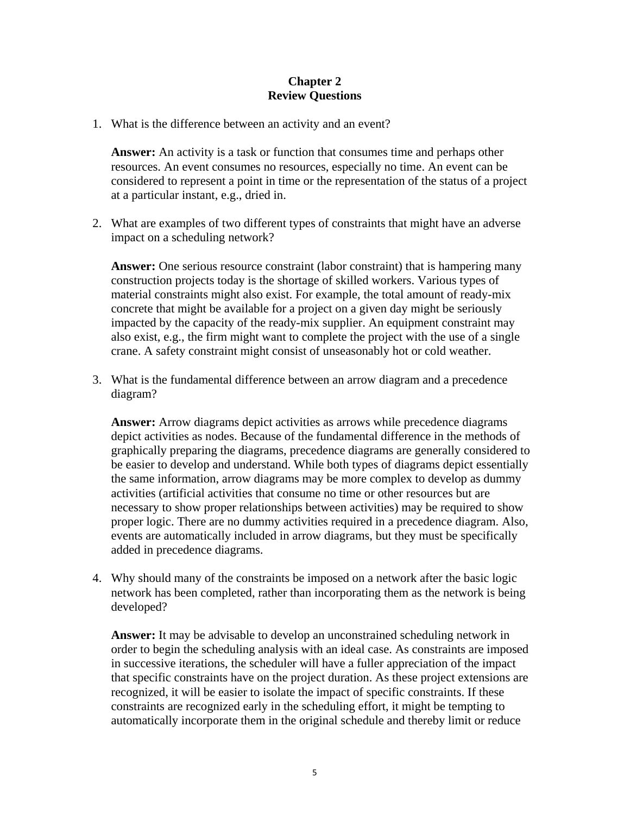#### **Chapter 2 Review Questions**

1. What is the difference between an activity and an event?

 **Answer:** An activity is a task or function that consumes time and perhaps other resources. An event consumes no resources, especially no time. An event can be considered to represent a point in time or the representation of the status of a project at a particular instant, e.g., dried in.

2. What are examples of two different types of constraints that might have an adverse impact on a scheduling network?

**Answer:** One serious resource constraint (labor constraint) that is hampering many construction projects today is the shortage of skilled workers. Various types of material constraints might also exist. For example, the total amount of ready-mix concrete that might be available for a project on a given day might be seriously impacted by the capacity of the ready-mix supplier. An equipment constraint may also exist, e.g., the firm might want to complete the project with the use of a single crane. A safety constraint might consist of unseasonably hot or cold weather.

3. What is the fundamental difference between an arrow diagram and a precedence diagram?

 **Answer:** Arrow diagrams depict activities as arrows while precedence diagrams depict activities as nodes. Because of the fundamental difference in the methods of graphically preparing the diagrams, precedence diagrams are generally considered to be easier to develop and understand. While both types of diagrams depict essentially the same information, arrow diagrams may be more complex to develop as dummy activities (artificial activities that consume no time or other resources but are necessary to show proper relationships between activities) may be required to show proper logic. There are no dummy activities required in a precedence diagram. Also, events are automatically included in arrow diagrams, but they must be specifically added in precedence diagrams.

4. Why should many of the constraints be imposed on a network after the basic logic network has been completed, rather than incorporating them as the network is being developed?

**Answer:** It may be advisable to develop an unconstrained scheduling network in order to begin the scheduling analysis with an ideal case. As constraints are imposed in successive iterations, the scheduler will have a fuller appreciation of the impact that specific constraints have on the project duration. As these project extensions are recognized, it will be easier to isolate the impact of specific constraints. If these constraints are recognized early in the scheduling effort, it might be tempting to automatically incorporate them in the original schedule and thereby limit or reduce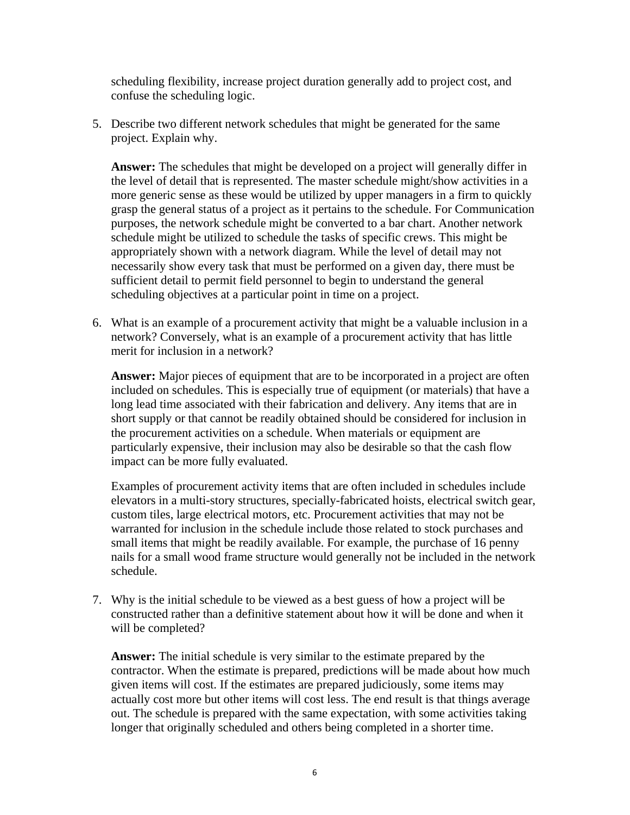scheduling flexibility, increase project duration generally add to project cost, and confuse the scheduling logic.

5. Describe two different network schedules that might be generated for the same project. Explain why.

**Answer:** The schedules that might be developed on a project will generally differ in the level of detail that is represented. The master schedule might/show activities in a more generic sense as these would be utilized by upper managers in a firm to quickly grasp the general status of a project as it pertains to the schedule. For Communication purposes, the network schedule might be converted to a bar chart. Another network schedule might be utilized to schedule the tasks of specific crews. This might be appropriately shown with a network diagram. While the level of detail may not necessarily show every task that must be performed on a given day, there must be sufficient detail to permit field personnel to begin to understand the general scheduling objectives at a particular point in time on a project.

6. What is an example of a procurement activity that might be a valuable inclusion in a network? Conversely, what is an example of a procurement activity that has little merit for inclusion in a network?

**Answer:** Major pieces of equipment that are to be incorporated in a project are often included on schedules. This is especially true of equipment (or materials) that have a long lead time associated with their fabrication and delivery. Any items that are in short supply or that cannot be readily obtained should be considered for inclusion in the procurement activities on a schedule. When materials or equipment are particularly expensive, their inclusion may also be desirable so that the cash flow impact can be more fully evaluated.

 Examples of procurement activity items that are often included in schedules include elevators in a multi-story structures, specially-fabricated hoists, electrical switch gear, custom tiles, large electrical motors, etc. Procurement activities that may not be warranted for inclusion in the schedule include those related to stock purchases and small items that might be readily available. For example, the purchase of 16 penny nails for a small wood frame structure would generally not be included in the network schedule.

7. Why is the initial schedule to be viewed as a best guess of how a project will be constructed rather than a definitive statement about how it will be done and when it will be completed?

**Answer:** The initial schedule is very similar to the estimate prepared by the contractor. When the estimate is prepared, predictions will be made about how much given items will cost. If the estimates are prepared judiciously, some items may actually cost more but other items will cost less. The end result is that things average out. The schedule is prepared with the same expectation, with some activities taking longer that originally scheduled and others being completed in a shorter time.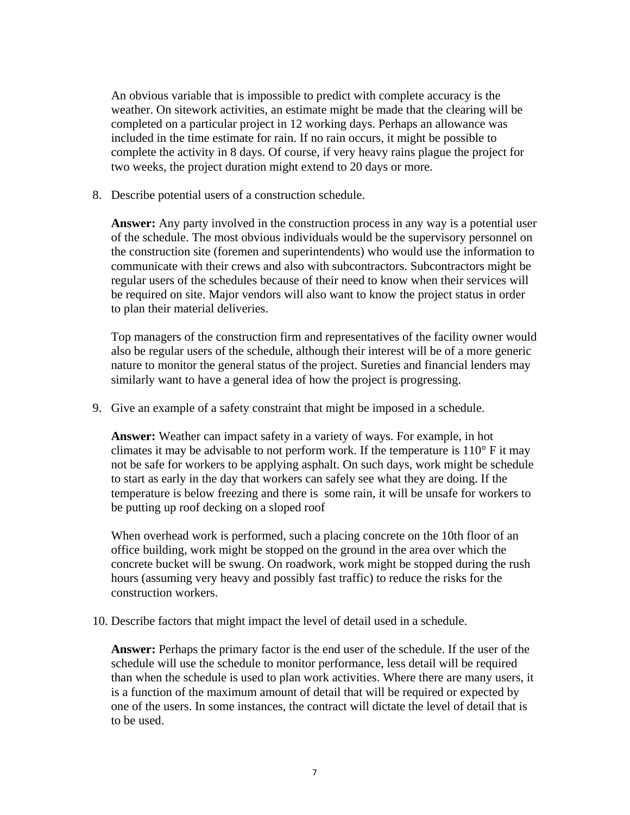An obvious variable that is impossible to predict with complete accuracy is the weather. On sitework activities, an estimate might be made that the clearing will be completed on a particular project in 12 working days. Perhaps an allowance was included in the time estimate for rain. If no rain occurs, it might be possible to complete the activity in 8 days. Of course, if very heavy rains plague the project for two weeks, the project duration might extend to 20 days or more.

8. Describe potential users of a construction schedule.

**Answer:** Any party involved in the construction process in any way is a potential user of the schedule. The most obvious individuals would be the supervisory personnel on the construction site (foremen and superintendents) who would use the information to communicate with their crews and also with subcontractors. Subcontractors might be regular users of the schedules because of their need to know when their services will be required on site. Major vendors will also want to know the project status in order to plan their material deliveries.

 Top managers of the construction firm and representatives of the facility owner would also be regular users of the schedule, although their interest will be of a more generic nature to monitor the general status of the project. Sureties and financial lenders may similarly want to have a general idea of how the project is progressing.

9. Give an example of a safety constraint that might be imposed in a schedule.

**Answer:** Weather can impact safety in a variety of ways. For example, in hot climates it may be advisable to not perform work. If the temperature is  $110^{\circ}$  F it may not be safe for workers to be applying asphalt. On such days, work might be schedule to start as early in the day that workers can safely see what they are doing. If the temperature is below freezing and there is some rain, it will be unsafe for workers to be putting up roof decking on a sloped roof

 When overhead work is performed, such a placing concrete on the 10th floor of an office building, work might be stopped on the ground in the area over which the concrete bucket will be swung. On roadwork, work might be stopped during the rush hours (assuming very heavy and possibly fast traffic) to reduce the risks for the construction workers.

10. Describe factors that might impact the level of detail used in a schedule.

**Answer:** Perhaps the primary factor is the end user of the schedule. If the user of the schedule will use the schedule to monitor performance, less detail will be required than when the schedule is used to plan work activities. Where there are many users, it is a function of the maximum amount of detail that will be required or expected by one of the users. In some instances, the contract will dictate the level of detail that is to be used.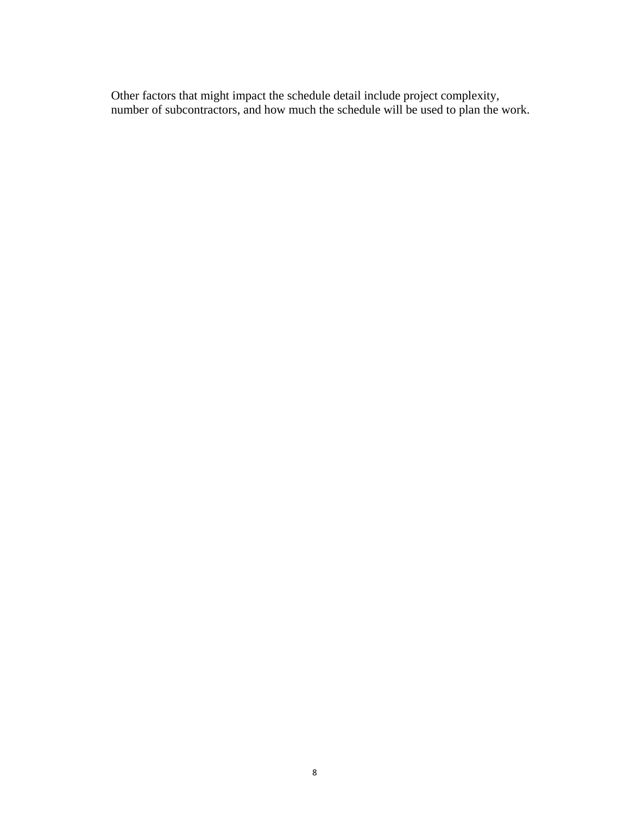Other factors that might impact the schedule detail include project complexity, number of subcontractors, and how much the schedule will be used to plan the work.